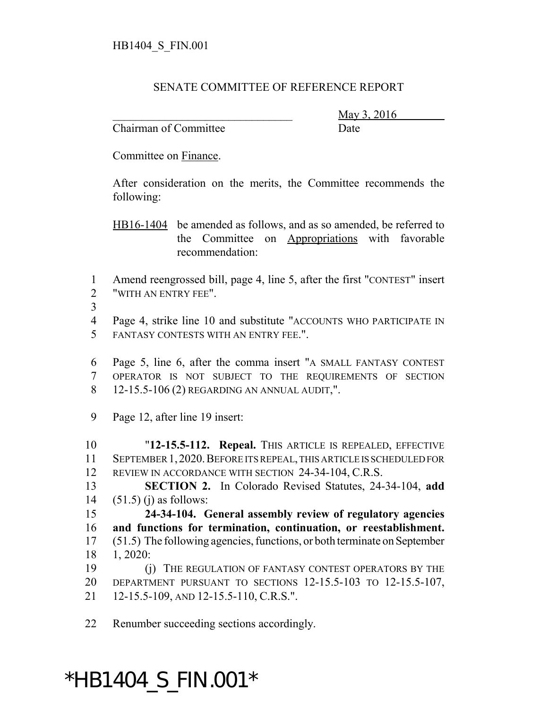## SENATE COMMITTEE OF REFERENCE REPORT

Chairman of Committee Date

\_\_\_\_\_\_\_\_\_\_\_\_\_\_\_\_\_\_\_\_\_\_\_\_\_\_\_\_\_\_\_ May 3, 2016

Committee on Finance.

After consideration on the merits, the Committee recommends the following:

HB16-1404 be amended as follows, and as so amended, be referred to the Committee on Appropriations with favorable recommendation:

Amend reengrossed bill, page 4, line 5, after the first "CONTEST" insert

- "WITH AN ENTRY FEE".
- 

 Page 4, strike line 10 and substitute "ACCOUNTS WHO PARTICIPATE IN FANTASY CONTESTS WITH AN ENTRY FEE.".

 Page 5, line 6, after the comma insert "A SMALL FANTASY CONTEST OPERATOR IS NOT SUBJECT TO THE REQUIREMENTS OF SECTION 12-15.5-106 (2) REGARDING AN ANNUAL AUDIT,".

Page 12, after line 19 insert:

 "**12-15.5-112. Repeal.** THIS ARTICLE IS REPEALED, EFFECTIVE SEPTEMBER 1,2020.BEFORE ITS REPEAL, THIS ARTICLE IS SCHEDULED FOR 12 REVIEW IN ACCORDANCE WITH SECTION 24-34-104, C.R.S.

 **SECTION 2.** In Colorado Revised Statutes, 24-34-104, **add** (51.5) (j) as follows:

 **24-34-104. General assembly review of regulatory agencies and functions for termination, continuation, or reestablishment.** (51.5) The following agencies, functions, or both terminate on September 1, 2020:

 (j) THE REGULATION OF FANTASY CONTEST OPERATORS BY THE DEPARTMENT PURSUANT TO SECTIONS 12-15.5-103 TO 12-15.5-107, 12-15.5-109, AND 12-15.5-110, C.R.S.".

Renumber succeeding sections accordingly.

## \*HB1404\_S\_FIN.001\*